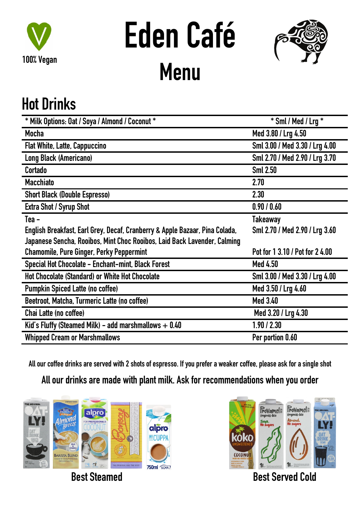

# **Eden Café Menu**



## **Hot Drinks**

| * Milk Options: Oat / Soya / Almond / Coconut *                             | $*$ Sml / Med / Lrg $*$         |
|-----------------------------------------------------------------------------|---------------------------------|
| <b>Mocha</b>                                                                | Med 3.80 / Lrg 4.50             |
| <b>Flat White, Latte, Cappuccino</b>                                        | Sml 3.00 / Med 3.30 / Lrg 4.00  |
| Long Black (Americano)                                                      | Sml 2.70 / Med 2.90 / Lrg 3.70  |
| Cortado                                                                     | <b>Sml 2.50</b>                 |
| <b>Macchiato</b>                                                            | 2.70                            |
| <b>Short Black (Double Espresso)</b>                                        | 2.30                            |
| <b>Extra Shot / Syrup Shot</b>                                              | 0.90 / 0.60                     |
| Tea -                                                                       | <b>Takeaway</b>                 |
| English Breakfast, Earl Grey, Decaf, Cranberry & Apple Bazaar, Pina Colada, | Sml 2.70 / Med 2.90 / Lrg 3.60  |
| Japanese Sencha, Rooibos, Mint Choc Rooibos, Laid Back Lavender, Calming    |                                 |
| <b>Chamomile, Pure Ginger, Perky Peppermint</b>                             | Pot for 1 3.10 / Pot for 2 4.00 |
| Special Hot Chocolate - Enchant-mint, Black Forest                          | <b>Med 4.50</b>                 |
| <b>Hot Chocolate (Standard) or White Hot Chocolate</b>                      | Sml 3.00 / Med 3.30 / Lrg 4.00  |
| <b>Pumpkin Spiced Latte (no coffee)</b>                                     | Med 3.50 / Lrg 4.60             |
| Beetroot, Matcha, Turmeric Latte (no coffee)                                | <b>Med 3.40</b>                 |
| Chai Latte (no coffee)                                                      | Med 3.20 / Lrg 4.30             |
| Kid's Fluffy (Steamed Milk) - add marshmallows $+0.40$                      | 1.90 / 2.30                     |
| <b>Whipped Cream or Marshmallows</b>                                        | Per portion 0.60                |

All our coffee drinks are served with 2 shots of espresso. If you prefer a weaker coffee, please ask for a single shot

**All our drinks are made with plant milk. Ask for recommendations when you order**



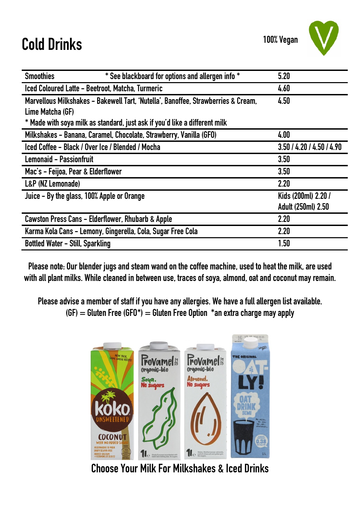## **Cold Drinks**



| * See blackboard for options and allergen info *<br><b>Smoothies</b>              | 5.20                      |
|-----------------------------------------------------------------------------------|---------------------------|
| Iced Coloured Latte - Beetroot, Matcha, Turmeric                                  | 4.60                      |
| Marvellous Milkshakes - Bakewell Tart, 'Nutella', Banoffee, Strawberries & Cream, | 4.50                      |
| Lime Matcha (GF)                                                                  |                           |
| * Made with soya milk as standard, just ask if you'd like a different milk        |                           |
| Milkshakes - Banana, Caramel, Chocolate, Strawberry, Vanilla (GFO)                | 4.00                      |
| Iced Coffee - Black / Over Ice / Blended / Mocha                                  | 3.50 / 4.20 / 4.50 / 4.90 |
| <b>Lemonaid - Passionfruit</b>                                                    | 3.50                      |
| Mac's - Feijoa, Pear & Elderflower                                                | 3.50                      |
| L&P (NZ Lemonade)                                                                 | 2.20                      |
| Juice - By the glass, 100% Apple or Orange                                        | Kids (200ml) 2.20 /       |
|                                                                                   | <b>Adult (250ml) 2.50</b> |
| Cawston Press Cans - Elderflower, Rhubarb & Apple                                 | 2.20                      |
| Karma Kola Cans - Lemony, Gingerella, Cola, Sugar Free Cola                       | 2.20                      |
| <b>Bottled Water - Still, Sparkling</b>                                           | 1.50                      |

Please note: Our blender jugs and steam wand on the coffee machine, used to heat the milk, are used **with all plant milks. While cleaned in between use, traces of soya, almond, oat and coconut may remain.**

**Please advise a member of staff if you have any allergies. We have a full allergen list available. (GF) = Gluten Free (GFO\*) = Gluten Free Option \*an extra charge may apply**



**Choose Your Milk For Milkshakes & Iced Drinks**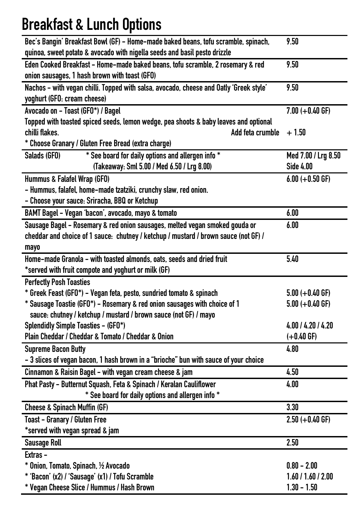## **Breakfast & Lunch Options**

| Bec's Bangin' Breakfast Bowl (GF) - Home-made baked beans, tofu scramble, spinach,     | 9.50                |
|----------------------------------------------------------------------------------------|---------------------|
| quinoa, sweet potato & avocado with nigella seeds and basil pesto drizzle              |                     |
| Eden Cooked Breakfast - Home-made baked beans, tofu scramble, 2 rosemary & red         | 9.50                |
| onion sausages, 1 hash brown with toast (GFO)                                          |                     |
| Nachos - with vegan chilli. Topped with salsa, avocado, cheese and Oatly 'Greek style' | 9.50                |
| yoghurt (GFO: cream cheese)                                                            |                     |
| Avocado on - Toast (GFO*) / Bagel                                                      | $7.00 (+0.40 GF)$   |
| Topped with toasted spiced seeds, lemon wedge, pea shoots & baby leaves and optional   |                     |
| chilli flakes.<br>Add feta crumble                                                     | $+1.50$             |
| * Choose Granary / Gluten Free Bread (extra charge)                                    |                     |
| * See board for daily options and allergen info *<br>Salads (GFO)                      | Med 7.00 / Lrg 8.50 |
| (Takeaway: Sml 5.00 / Med 6.50 / Lrg 8.00)                                             | <b>Side 4.00</b>    |
| Hummus & Falafel Wrap (GFO)                                                            | $6.00 (+0.50$ GF)   |
| - Hummus, falafel, home-made tzatziki, crunchy slaw, red onion.                        |                     |
| - Choose your sauce: Sriracha, BBQ or Ketchup                                          |                     |
| BAMT Bagel - Vegan 'bacon', avocado, mayo & tomato                                     | 6.00                |
| Sausage Bagel - Rosemary & red onion sausages, melted vegan smoked gouda or            | 6.00                |
| cheddar and choice of 1 sauce: chutney / ketchup / mustard / brown sauce (not GF) /    |                     |
| mayo                                                                                   |                     |
| Home-made Granola - with toasted almonds, oats, seeds and dried fruit                  | 5.40                |
| *served with fruit compote and yoghurt or milk (GF)                                    |                     |
| <b>Perfectly Posh Toasties</b>                                                         |                     |
| * Greek Feast (GFO*) – Vegan feta, pesto, sundried tomato & spinach                    | $5.00 (+0.40$ GF)   |
| * Sausage Toastie (GFO*) - Rosemary & red onion sausages with choice of 1              | $5.00 (+0.40$ GF)   |
| sauce: chutney / ketchup / mustard / brown sauce (not GF) / mayo                       |                     |
| <b>Splendidly Simple Toasties - (GFO*)</b>                                             | 4.00 / 4.20 / 4.20  |
| Plain Cheddar / Cheddar & Tomato / Cheddar & Onion                                     | $(+0.40$ GF)        |
| <b>Supreme Bacon Butty</b>                                                             | 4.80                |
| - 3 slices of vegan bacon, 1 hash brown in a "brioche" bun with sauce of your choice   |                     |
| Cinnamon & Raisin Bagel - with vegan cream cheese & jam                                | 4.50                |
| Phat Pasty - Butternut Squash, Feta & Spinach / Keralan Cauliflower                    | 4.00                |
| * See board for daily options and allergen info *                                      |                     |
| <b>Cheese &amp; Spinach Muffin (GF)</b>                                                | 3.30                |
| <b>Toast - Granary / Gluten Free</b>                                                   | $2.50 (+0.40$ GF)   |
| *served with vegan spread & jam                                                        |                     |
| <b>Sausage Roll</b>                                                                    | 2.50                |
| Extras-                                                                                |                     |
| * Onion, Tomato, Spinach, 1/2 Avocado                                                  | $0.80 - 2.00$       |
| * 'Bacon' (x2) / 'Sausage' (x1) / Tofu Scramble                                        | 1.60 / 1.60 / 2.00  |
| * Vegan Cheese Slice / Hummus / Hash Brown                                             | $1.30 - 1.50$       |